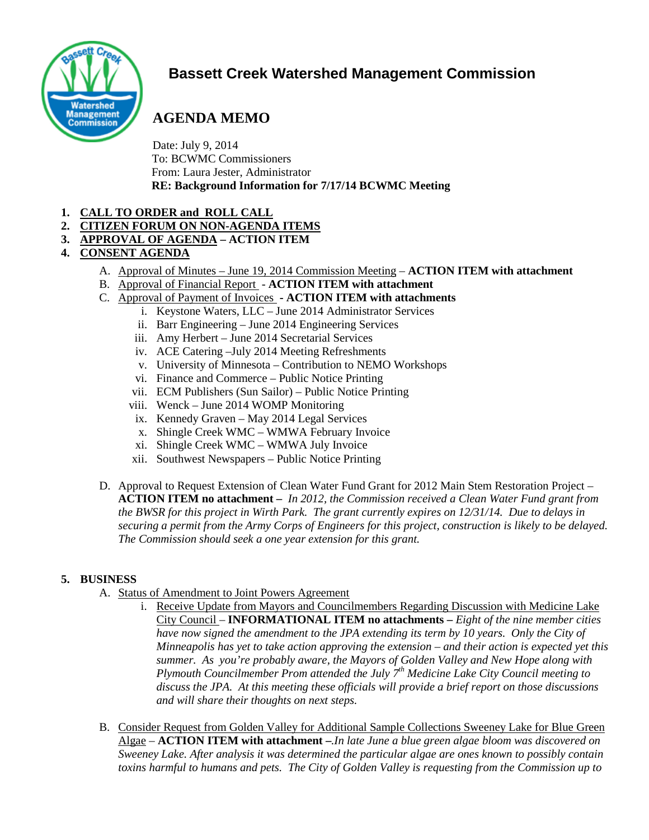

# **Bassett Creek Watershed Management Commission**

# **AGENDA MEMO**

Date: July 9, 2014 To: BCWMC Commissioners From: Laura Jester, Administrator **RE: Background Information for 7/17/14 BCWMC Meeting**

- **1. CALL TO ORDER and ROLL CALL**
- **2. CITIZEN FORUM ON NON-AGENDA ITEMS**
- **3. APPROVAL OF AGENDA – ACTION ITEM**
- **4. CONSENT AGENDA** 
	- A. Approval of Minutes June 19, 2014 Commission Meeting **ACTION ITEM with attachment**
	- B. Approval of Financial Report **ACTION ITEM with attachment**
	- C. Approval of Payment of Invoices **- ACTION ITEM with attachments**
		- i. Keystone Waters, LLC June 2014 Administrator Services
		- ii. Barr Engineering June 2014 Engineering Services
		- iii. Amy Herbert June 2014 Secretarial Services
		- iv. ACE Catering –July 2014 Meeting Refreshments
		- v. University of Minnesota Contribution to NEMO Workshops
		- vi. Finance and Commerce Public Notice Printing
		- vii. ECM Publishers (Sun Sailor) Public Notice Printing
		- viii. Wenck June 2014 WOMP Monitoring
		- ix. Kennedy Graven May 2014 Legal Services
		- x. Shingle Creek WMC WMWA February Invoice
		- xi. Shingle Creek WMC WMWA July Invoice
		- xii. Southwest Newspapers Public Notice Printing
	- D. Approval to Request Extension of Clean Water Fund Grant for 2012 Main Stem Restoration Project **ACTION ITEM no attachment –** *In 2012, the Commission received a Clean Water Fund grant from the BWSR for this project in Wirth Park. The grant currently expires on 12/31/14. Due to delays in securing a permit from the Army Corps of Engineers for this project, construction is likely to be delayed. The Commission should seek a one year extension for this grant.*

## **5. BUSINESS**

- A. Status of Amendment to Joint Powers Agreement
	- i. Receive Update from Mayors and Councilmembers Regarding Discussion with Medicine Lake City Council – **INFORMATIONAL ITEM no attachments –** *Eight of the nine member cities have now signed the amendment to the JPA extending its term by 10 years. Only the City of Minneapolis has yet to take action approving the extension – and their action is expected yet this summer. As you're probably aware, the Mayors of Golden Valley and New Hope along with Plymouth Councilmember Prom attended the July 7th Medicine Lake City Council meeting to discuss the JPA. At this meeting these officials will provide a brief report on those discussions and will share their thoughts on next steps.*
- B. Consider Request from Golden Valley for Additional Sample Collections Sweeney Lake for Blue Green Algae – **ACTION ITEM with attachment –***.In late June a blue green algae bloom was discovered on Sweeney Lake. After analysis it was determined the particular algae are ones known to possibly contain toxins harmful to humans and pets. The City of Golden Valley is requesting from the Commission up to*